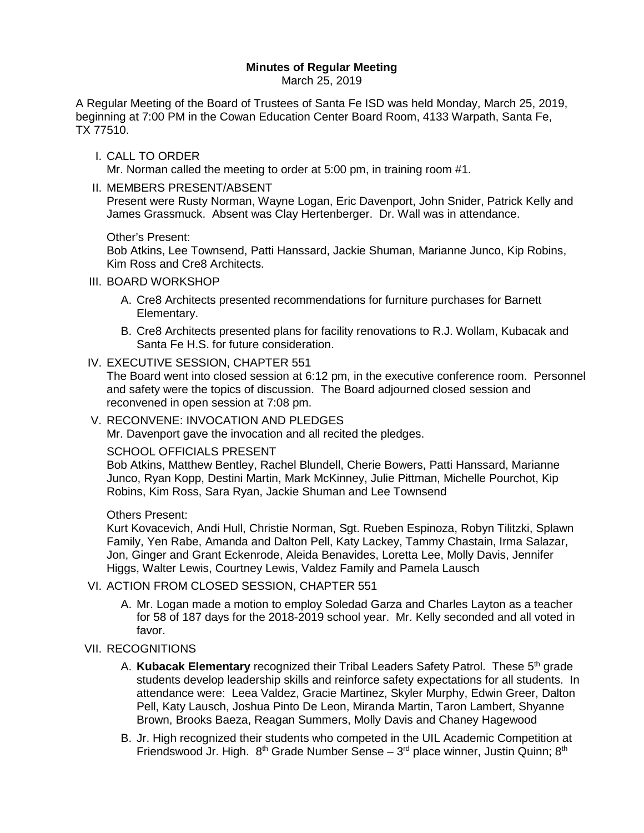## **Minutes of Regular Meeting**

March 25, 2019

A Regular Meeting of the Board of Trustees of Santa Fe ISD was held Monday, March 25, 2019, beginning at 7:00 PM in the Cowan Education Center Board Room, 4133 Warpath, Santa Fe, TX 77510.

I. CALL TO ORDER

Mr. Norman called the meeting to order at 5:00 pm, in training room #1.

II. MEMBERS PRESENT/ABSENT

Present were Rusty Norman, Wayne Logan, Eric Davenport, John Snider, Patrick Kelly and James Grassmuck. Absent was Clay Hertenberger. Dr. Wall was in attendance.

#### Other's Present:

Bob Atkins, Lee Townsend, Patti Hanssard, Jackie Shuman, Marianne Junco, Kip Robins, Kim Ross and Cre8 Architects.

#### III. BOARD WORKSHOP

- A. Cre8 Architects presented recommendations for furniture purchases for Barnett Elementary.
- B. Cre8 Architects presented plans for facility renovations to R.J. Wollam, Kubacak and Santa Fe H.S. for future consideration.
- IV. EXECUTIVE SESSION, CHAPTER 551

The Board went into closed session at 6:12 pm, in the executive conference room. Personnel and safety were the topics of discussion. The Board adjourned closed session and reconvened in open session at 7:08 pm.

V. RECONVENE: INVOCATION AND PLEDGES

Mr. Davenport gave the invocation and all recited the pledges.

#### SCHOOL OFFICIALS PRESENT

Bob Atkins, Matthew Bentley, Rachel Blundell, Cherie Bowers, Patti Hanssard, Marianne Junco, Ryan Kopp, Destini Martin, Mark McKinney, Julie Pittman, Michelle Pourchot, Kip Robins, Kim Ross, Sara Ryan, Jackie Shuman and Lee Townsend

#### Others Present:

Kurt Kovacevich, Andi Hull, Christie Norman, Sgt. Rueben Espinoza, Robyn Tilitzki, Splawn Family, Yen Rabe, Amanda and Dalton Pell, Katy Lackey, Tammy Chastain, Irma Salazar, Jon, Ginger and Grant Eckenrode, Aleida Benavides, Loretta Lee, Molly Davis, Jennifer Higgs, Walter Lewis, Courtney Lewis, Valdez Family and Pamela Lausch

#### VI. ACTION FROM CLOSED SESSION, CHAPTER 551

A. Mr. Logan made a motion to employ Soledad Garza and Charles Layton as a teacher for 58 of 187 days for the 2018-2019 school year. Mr. Kelly seconded and all voted in favor.

## VII. RECOGNITIONS

- A. **Kubacak Elementary** recognized their Tribal Leaders Safety Patrol. These 5<sup>th</sup> grade students develop leadership skills and reinforce safety expectations for all students. In attendance were: Leea Valdez, Gracie Martinez, Skyler Murphy, Edwin Greer, Dalton Pell, Katy Lausch, Joshua Pinto De Leon, Miranda Martin, Taron Lambert, Shyanne Brown, Brooks Baeza, Reagan Summers, Molly Davis and Chaney Hagewood
- B. Jr. High recognized their students who competed in the UIL Academic Competition at Friendswood Jr. High.  $8<sup>th</sup>$  Grade Number Sense –  $3<sup>rd</sup>$  place winner, Justin Quinn;  $8<sup>th</sup>$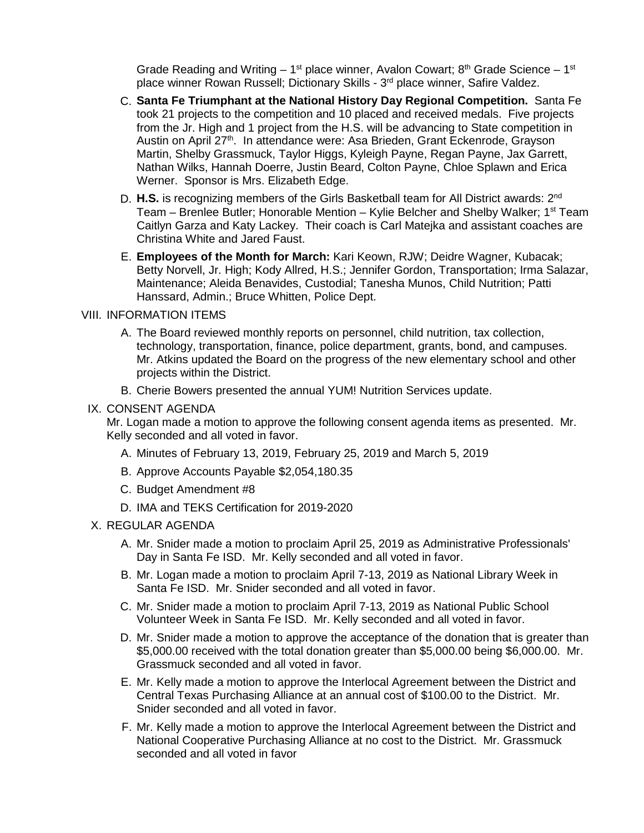Grade Reading and Writing –  $1^{st}$  place winner, Avalon Cowart;  $8^{th}$  Grade Science –  $1^{st}$ place winner Rowan Russell; Dictionary Skills - 3<sup>rd</sup> place winner, Safire Valdez.

- C. **Santa Fe Triumphant at the National History Day Regional Competition.** Santa Fe took 21 projects to the competition and 10 placed and received medals. Five projects from the Jr. High and 1 project from the H.S. will be advancing to State competition in Austin on April 27th. In attendance were: Asa Brieden, Grant Eckenrode, Grayson Martin, Shelby Grassmuck, Taylor Higgs, Kyleigh Payne, Regan Payne, Jax Garrett, Nathan Wilks, Hannah Doerre, Justin Beard, Colton Payne, Chloe Splawn and Erica Werner. Sponsor is Mrs. Elizabeth Edge.
- D. **H.S.** is recognizing members of the Girls Basketball team for All District awards: 2<sup>nd</sup> Team – Brenlee Butler; Honorable Mention – Kylie Belcher and Shelby Walker; 1<sup>st</sup> Team Caitlyn Garza and Katy Lackey. Their coach is Carl Matejka and assistant coaches are Christina White and Jared Faust.
- E. **Employees of the Month for March:** Kari Keown, RJW; Deidre Wagner, Kubacak; Betty Norvell, Jr. High; Kody Allred, H.S.; Jennifer Gordon, Transportation; Irma Salazar, Maintenance; Aleida Benavides, Custodial; Tanesha Munos, Child Nutrition; Patti Hanssard, Admin.; Bruce Whitten, Police Dept.

#### VIII. INFORMATION ITEMS

- A. The Board reviewed monthly reports on personnel, child nutrition, tax collection, technology, transportation, finance, police department, grants, bond, and campuses. Mr. Atkins updated the Board on the progress of the new elementary school and other projects within the District.
- B. Cherie Bowers presented the annual YUM! Nutrition Services update.

#### IX. CONSENT AGENDA

Mr. Logan made a motion to approve the following consent agenda items as presented. Mr. Kelly seconded and all voted in favor.

- A. Minutes of February 13, 2019, February 25, 2019 and March 5, 2019
- B. Approve Accounts Payable \$2,054,180.35
- C. Budget Amendment #8
- D. IMA and TEKS Certification for 2019-2020

#### X. REGULAR AGENDA

- A. Mr. Snider made a motion to proclaim April 25, 2019 as Administrative Professionals' Day in Santa Fe ISD. Mr. Kelly seconded and all voted in favor.
- B. Mr. Logan made a motion to proclaim April 7-13, 2019 as National Library Week in Santa Fe ISD. Mr. Snider seconded and all voted in favor.
- C. Mr. Snider made a motion to proclaim April 7-13, 2019 as National Public School Volunteer Week in Santa Fe ISD. Mr. Kelly seconded and all voted in favor.
- D. Mr. Snider made a motion to approve the acceptance of the donation that is greater than \$5,000.00 received with the total donation greater than \$5,000.00 being \$6,000.00. Mr. Grassmuck seconded and all voted in favor.
- E. Mr. Kelly made a motion to approve the Interlocal Agreement between the District and Central Texas Purchasing Alliance at an annual cost of \$100.00 to the District. Mr. Snider seconded and all voted in favor.
- F. Mr. Kelly made a motion to approve the Interlocal Agreement between the District and National Cooperative Purchasing Alliance at no cost to the District. Mr. Grassmuck seconded and all voted in favor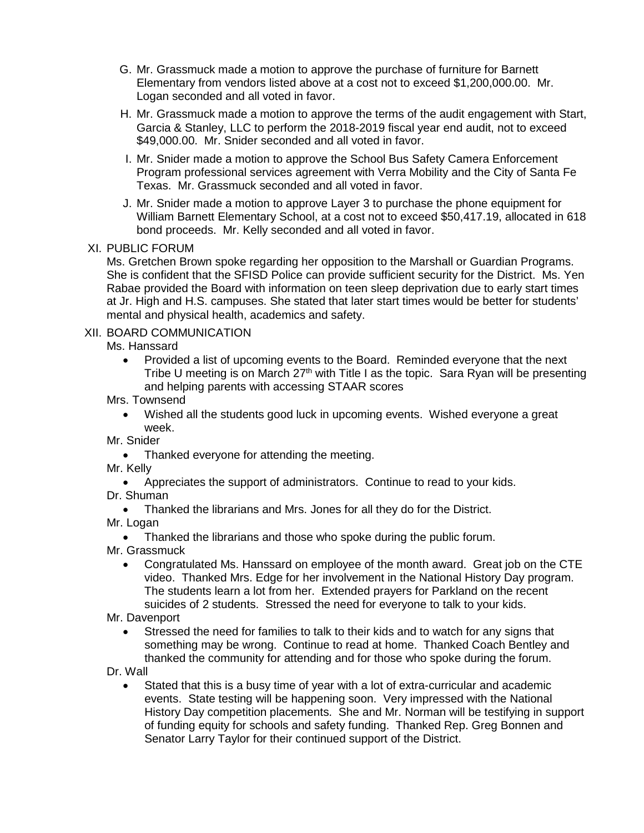- G. Mr. Grassmuck made a motion to approve the purchase of furniture for Barnett Elementary from vendors listed above at a cost not to exceed \$1,200,000.00. Mr. Logan seconded and all voted in favor.
- H. Mr. Grassmuck made a motion to approve the terms of the audit engagement with Start, Garcia & Stanley, LLC to perform the 2018-2019 fiscal year end audit, not to exceed \$49,000.00. Mr. Snider seconded and all voted in favor.
- I. Mr. Snider made a motion to approve the School Bus Safety Camera Enforcement Program professional services agreement with Verra Mobility and the City of Santa Fe Texas. Mr. Grassmuck seconded and all voted in favor.
- J. Mr. Snider made a motion to approve Layer 3 to purchase the phone equipment for William Barnett Elementary School, at a cost not to exceed \$50,417.19, allocated in 618 bond proceeds. Mr. Kelly seconded and all voted in favor.

## XI. PUBLIC FORUM

Ms. Gretchen Brown spoke regarding her opposition to the Marshall or Guardian Programs. She is confident that the SFISD Police can provide sufficient security for the District. Ms. Yen Rabae provided the Board with information on teen sleep deprivation due to early start times at Jr. High and H.S. campuses. She stated that later start times would be better for students' mental and physical health, academics and safety.

### XII. BOARD COMMUNICATION

Ms. Hanssard

• Provided a list of upcoming events to the Board. Reminded everyone that the next Tribe U meeting is on March  $27<sup>th</sup>$  with Title I as the topic. Sara Ryan will be presenting and helping parents with accessing STAAR scores

Mrs. Townsend

- Wished all the students good luck in upcoming events. Wished everyone a great week.
- Mr. Snider
	- Thanked everyone for attending the meeting.

Mr. Kelly

- Appreciates the support of administrators. Continue to read to your kids.
- Dr. Shuman
	- Thanked the librarians and Mrs. Jones for all they do for the District.
- Mr. Logan

• Thanked the librarians and those who spoke during the public forum.

Mr. Grassmuck

- Congratulated Ms. Hanssard on employee of the month award. Great job on the CTE video. Thanked Mrs. Edge for her involvement in the National History Day program. The students learn a lot from her. Extended prayers for Parkland on the recent suicides of 2 students. Stressed the need for everyone to talk to your kids.
- Mr. Davenport
	- Stressed the need for families to talk to their kids and to watch for any signs that something may be wrong. Continue to read at home. Thanked Coach Bentley and thanked the community for attending and for those who spoke during the forum.

Dr. Wall

• Stated that this is a busy time of year with a lot of extra-curricular and academic events. State testing will be happening soon. Very impressed with the National History Day competition placements. She and Mr. Norman will be testifying in support of funding equity for schools and safety funding. Thanked Rep. Greg Bonnen and Senator Larry Taylor for their continued support of the District.